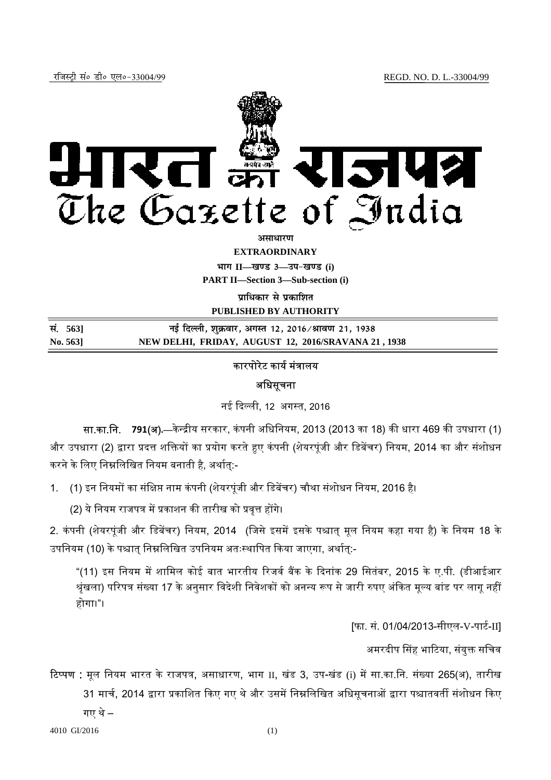

*<u>अमाधारण</u>* 

**EXTRAORDINARY**

 $\lim_{h \to 0} \frac{1}{h} = \frac{1}{h}$  and 3 and  $\lim_{h \to 0} \frac{h}{h} = \frac{1}{h}$ 

**PART II—Section 3—Sub-section (i)** 

**<u>uाधिकार से प्रकाशित</u>** 

**PUBLISHED BY AUTHORITY**

| सं. 5631           | नई दिल्ली, शुक्रवार, अगस्त 12, 2016 ⁄ श्रावण 21, 1938 |
|--------------------|-------------------------------------------------------|
| $\mathrm{No. 563}$ | NEW DELHI, FRIDAY, AUGUST 12, 2016/SRAVANA 21, 1938   |

# कारपोरेट कार्य मंत्रालय

## अधिसूचना

नई ᳰद᭨ली, 12 अग᭭त, 2016

**सा.का.नि. <b>791(अ).**—केन्द्रीय सरकार, कंपनी अधिनियम, 2013 (2013 का 18) की धारा 469 की उपधारा (1) और उपधारा (2) द्वारा प्रदत्त शक्तियों का प्रयोग करते हुए कंपनी (शेयरपूंजी और डिबेंचर) नियम, 2014 का और संशोधन करने के लिए निम्नलिखित नियम बनाती है, अर्थात:-

1. (1) इन नियमों का संक्षिप्त नाम कंपनी (शेयरपूंजी और डिबेंचर) चौथा संशोधन नियम, 2016 है।

(2) ये नियम राजपत्र में प्रकाशन की तारीख को प्रवृत्त होंगे।

2. कंपनी (शेयरपूंजी और डिबेंचर) नियम, 2014 (जिसे इसमें इसके पश्चात् मूल नियम कहा गया है) के नियम 18 के उपनियम (10) के पश्चात निम्नलिखित उपनियम अतःस्थापित किया जाएगा, अर्थात:-

"(11) इस नियम में शामिल कोई बात भारतीय रिजर्व बैंक के दिनांक 29 सितंबर, 2015 के ए.पी. (डीआईआर श्रृंखला) परिपत्र संख्या 17 के अनुसार विदेशी निवेशकों को अनन्य रूप से जारी रुपए अंकित मूल्य बांड पर लागू नहीं होगा।"।

[फा. सं. 01/04/2013-सीएल-V-पार्ट-II]

अमरदीप सिंह भाटिया, संयुक्त सचिव

टिप्पण : मूल नियम भारत के राजपत्र, असाधारण, भाग II, खंड 3, उप-खंड (i) में सा.का.नि. संख्या 265(अ), तारीख 31 मार्च, 2014 द्वारा प्रकाशित किए गए थे और उसमें निम्नलिखित अधिसूचनाओं द्वारा पश्चातवर्ती संशोधन किए

गए थे –